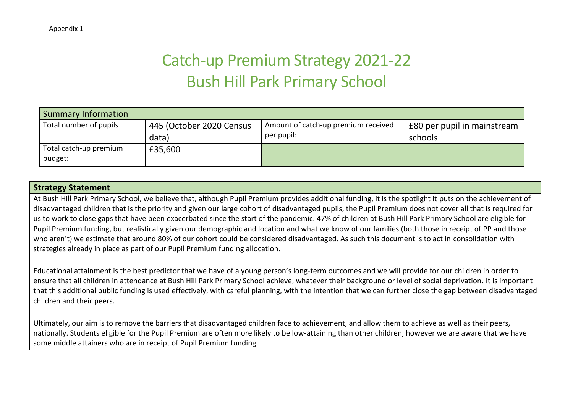## Catch-up Premium Strategy 2021-22 Bush Hill Park Primary School

| Summary Information               |                                   |                                                   |                                        |
|-----------------------------------|-----------------------------------|---------------------------------------------------|----------------------------------------|
| Total number of pupils            | 445 (October 2020 Census<br>data) | Amount of catch-up premium received<br>per pupil: | £80 per pupil in mainstream<br>schools |
| Total catch-up premium<br>budget: | £35,600                           |                                                   |                                        |

## **Strategy Statement**

At Bush Hill Park Primary School, we believe that, although Pupil Premium provides additional funding, it is the spotlight it puts on the achievement of disadvantaged children that is the priority and given our large cohort of disadvantaged pupils, the Pupil Premium does not cover all that is required for us to work to close gaps that have been exacerbated since the start of the pandemic. 47% of children at Bush Hill Park Primary School are eligible for Pupil Premium funding, but realistically given our demographic and location and what we know of our families (both those in receipt of PP and those who aren't) we estimate that around 80% of our cohort could be considered disadvantaged. As such this document is to act in consolidation with strategies already in place as part of our Pupil Premium funding allocation.

Educational attainment is the best predictor that we have of a young person's long-term outcomes and we will provide for our children in order to ensure that all children in attendance at Bush Hill Park Primary School achieve, whatever their background or level of social deprivation. It is important that this additional public funding is used effectively, with careful planning, with the intention that we can further close the gap between disadvantaged children and their peers.

Ultimately, our aim is to remove the barriers that disadvantaged children face to achievement, and allow them to achieve as well as their peers, nationally. Students eligible for the Pupil Premium are often more likely to be low-attaining than other children, however we are aware that we have some middle attainers who are in receipt of Pupil Premium funding.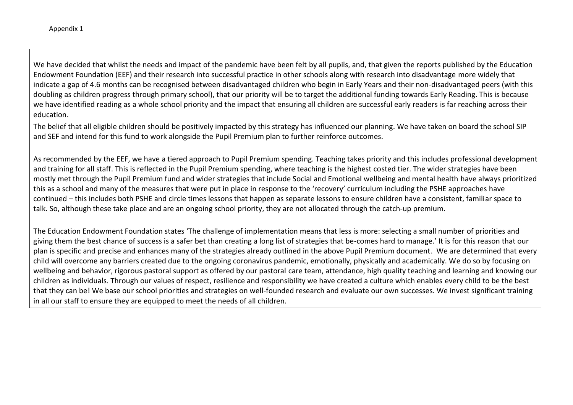We have decided that whilst the needs and impact of the pandemic have been felt by all pupils, and, that given the reports published by the Education Endowment Foundation (EEF) and their research into successful practice in other schools along with research into disadvantage more widely that indicate a gap of 4.6 months can be recognised between disadvantaged children who begin in Early Years and their non-disadvantaged peers (with this doubling as children progress through primary school), that our priority will be to target the additional funding towards Early Reading. This is because we have identified reading as a whole school priority and the impact that ensuring all children are successful early readers is far reaching across their education.

The belief that all eligible children should be positively impacted by this strategy has influenced our planning. We have taken on board the school SIP and SEF and intend for this fund to work alongside the Pupil Premium plan to further reinforce outcomes.

As recommended by the EEF, we have a tiered approach to Pupil Premium spending. Teaching takes priority and this includes professional development and training for all staff. This is reflected in the Pupil Premium spending, where teaching is the highest costed tier. The wider strategies have been mostly met through the Pupil Premium fund and wider strategies that include Social and Emotional wellbeing and mental health have always prioritized this as a school and many of the measures that were put in place in response to the 'recovery' curriculum including the PSHE approaches have continued – this includes both PSHE and circle times lessons that happen as separate lessons to ensure children have a consistent, familiar space to talk. So, although these take place and are an ongoing school priority, they are not allocated through the catch-up premium.

The Education Endowment Foundation states 'The challenge of implementation means that less is more: selecting a small number of priorities and giving them the best chance of success is a safer bet than creating a long list of strategies that be-comes hard to manage.' It is for this reason that our plan is specific and precise and enhances many of the strategies already outlined in the above Pupil Premium document. We are determined that every child will overcome any barriers created due to the ongoing coronavirus pandemic, emotionally, physically and academically. We do so by focusing on wellbeing and behavior, rigorous pastoral support as offered by our pastoral care team, attendance, high quality teaching and learning and knowing our children as individuals. Through our values of respect, resilience and responsibility we have created a culture which enables every child to be the best that they can be! We base our school priorities and strategies on well-founded research and evaluate our own successes. We invest significant training in all our staff to ensure they are equipped to meet the needs of all children.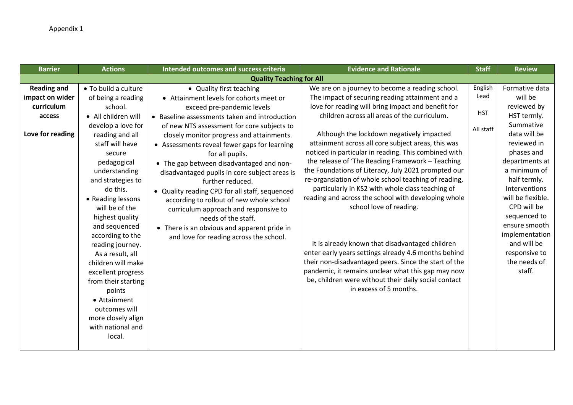| <b>Barrier</b>     | <b>Actions</b>                          | Intended outcomes and success criteria         | <b>Evidence and Rationale</b>                                                                               | <b>Staff</b> | <b>Review</b>                 |
|--------------------|-----------------------------------------|------------------------------------------------|-------------------------------------------------------------------------------------------------------------|--------------|-------------------------------|
|                    |                                         | <b>Quality Teaching for All</b>                |                                                                                                             |              |                               |
| <b>Reading and</b> | • To build a culture                    | • Quality first teaching                       | We are on a journey to become a reading school.                                                             | English      | Formative data                |
| impact on wider    | of being a reading                      | • Attainment levels for cohorts meet or        | The impact of securing reading attainment and a                                                             | Lead         | will be                       |
| curriculum         | school.                                 | exceed pre-pandemic levels                     | love for reading will bring impact and benefit for                                                          |              | reviewed by                   |
| access             | • All children will                     | • Baseline assessments taken and introduction  | children across all areas of the curriculum.                                                                | <b>HST</b>   | HST termly.                   |
|                    | develop a love for                      | of new NTS assessment for core subjects to     |                                                                                                             | All staff    | Summative                     |
| Love for reading   | reading and all                         | closely monitor progress and attainments.      | Although the lockdown negatively impacted                                                                   |              | data will be                  |
|                    | staff will have                         | • Assessments reveal fewer gaps for learning   | attainment across all core subject areas, this was                                                          |              | reviewed in                   |
|                    | secure                                  | for all pupils.                                | noticed in particular in reading. This combined with                                                        |              | phases and                    |
|                    | pedagogical                             | • The gap between disadvantaged and non-       | the release of 'The Reading Framework - Teaching                                                            |              | departments at                |
|                    | understanding                           | disadvantaged pupils in core subject areas is  | the Foundations of Literacy, July 2021 prompted our                                                         |              | a minimum of                  |
|                    | and strategies to                       | further reduced.                               | re-organsiation of whole school teaching of reading,                                                        |              | half termly.                  |
|                    | do this.                                | • Quality reading CPD for all staff, sequenced | particularly in KS2 with whole class teaching of                                                            |              | Interventions                 |
|                    | • Reading lessons                       | according to rollout of new whole school       | reading and across the school with developing whole                                                         |              | will be flexible.             |
|                    | will be of the                          | curriculum approach and responsive to          | school love of reading.                                                                                     |              | CPD will be                   |
|                    | highest quality                         | needs of the staff.                            |                                                                                                             |              | sequenced to                  |
|                    | and sequenced                           | • There is an obvious and apparent pride in    |                                                                                                             |              | ensure smooth                 |
|                    | according to the                        | and love for reading across the school.        |                                                                                                             |              | implementation                |
|                    | reading journey.                        |                                                | It is already known that disadvantaged children                                                             |              | and will be                   |
|                    | As a result, all                        |                                                | enter early years settings already 4.6 months behind                                                        |              | responsive to<br>the needs of |
|                    | children will make                      |                                                | their non-disadvantaged peers. Since the start of the<br>pandemic, it remains unclear what this gap may now |              | staff.                        |
|                    | excellent progress                      |                                                | be, children were without their daily social contact                                                        |              |                               |
|                    | from their starting                     |                                                | in excess of 5 months.                                                                                      |              |                               |
|                    | points                                  |                                                |                                                                                                             |              |                               |
|                    | • Attainment                            |                                                |                                                                                                             |              |                               |
|                    | outcomes will                           |                                                |                                                                                                             |              |                               |
|                    | more closely align<br>with national and |                                                |                                                                                                             |              |                               |
|                    | local.                                  |                                                |                                                                                                             |              |                               |
|                    |                                         |                                                |                                                                                                             |              |                               |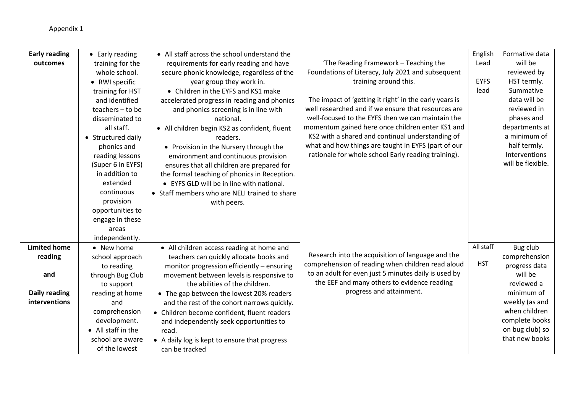| <b>Early reading</b> | • Early reading    | • All staff across the school understand the  |                                                        | English     | Formative data    |
|----------------------|--------------------|-----------------------------------------------|--------------------------------------------------------|-------------|-------------------|
| outcomes             | training for the   | requirements for early reading and have       | 'The Reading Framework - Teaching the                  | Lead        | will be           |
|                      | whole school.      | secure phonic knowledge, regardless of the    | Foundations of Literacy, July 2021 and subsequent      |             | reviewed by       |
|                      | • RWI specific     | year group they work in.                      | training around this.                                  | <b>EYFS</b> | HST termly.       |
|                      | training for HST   | • Children in the EYFS and KS1 make           |                                                        | lead        | Summative         |
|                      | and identified     | accelerated progress in reading and phonics   | The impact of 'getting it right' in the early years is |             | data will be      |
|                      | teachers - to be   | and phonics screening is in line with         | well researched and if we ensure that resources are    |             | reviewed in       |
|                      | disseminated to    | national.                                     | well-focused to the EYFS then we can maintain the      |             | phases and        |
|                      | all staff.         | • All children begin KS2 as confident, fluent | momentum gained here once children enter KS1 and       |             | departments at    |
|                      | • Structured daily | readers.                                      | KS2 with a shared and continual understanding of       |             | a minimum of      |
|                      | phonics and        | • Provision in the Nursery through the        | what and how things are taught in EYFS (part of our    |             | half termly.      |
|                      | reading lessons    | environment and continuous provision          | rationale for whole school Early reading training).    |             | Interventions     |
|                      | (Super 6 in EYFS)  | ensures that all children are prepared for    |                                                        |             | will be flexible. |
|                      | in addition to     | the formal teaching of phonics in Reception.  |                                                        |             |                   |
|                      | extended           | • EYFS GLD will be in line with national.     |                                                        |             |                   |
|                      | continuous         | • Staff members who are NELI trained to share |                                                        |             |                   |
|                      | provision          | with peers.                                   |                                                        |             |                   |
|                      | opportunities to   |                                               |                                                        |             |                   |
|                      | engage in these    |                                               |                                                        |             |                   |
|                      | areas              |                                               |                                                        |             |                   |
|                      | independently.     |                                               |                                                        |             |                   |
| <b>Limited home</b>  | • New home         | • All children access reading at home and     |                                                        | All staff   | Bug club          |
| reading              | school approach    | teachers can quickly allocate books and       | Research into the acquisition of language and the      |             | comprehension     |
|                      | to reading         | monitor progression efficiently - ensuring    | comprehension of reading when children read aloud      | <b>HST</b>  | progress data     |
| and                  | through Bug Club   | movement between levels is responsive to      | to an adult for even just 5 minutes daily is used by   |             | will be           |
|                      | to support         | the abilities of the children.                | the EEF and many others to evidence reading            |             | reviewed a        |
| Daily reading        | reading at home    | • The gap between the lowest 20% readers      | progress and attainment.                               |             | minimum of        |
| interventions        | and                | and the rest of the cohort narrows quickly.   |                                                        |             | weekly (as and    |
|                      | comprehension      | • Children become confident, fluent readers   |                                                        |             | when children     |
|                      | development.       | and independently seek opportunities to       |                                                        |             | complete books    |
|                      | • All staff in the | read.                                         |                                                        |             | on bug club) so   |
|                      | school are aware   | • A daily log is kept to ensure that progress |                                                        |             | that new books    |
|                      | of the lowest      | can be tracked                                |                                                        |             |                   |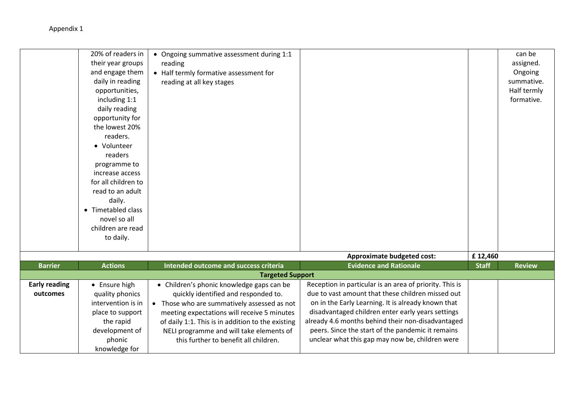Appendix 1

|                                  | 20% of readers in<br>their year groups<br>and engage them<br>daily in reading<br>opportunities,<br>including 1:1<br>daily reading<br>opportunity for<br>the lowest 20%<br>readers.<br>• Volunteer<br>readers<br>programme to<br>increase access<br>for all children to<br>read to an adult<br>daily.<br>• Timetabled class<br>novel so all<br>children are read<br>to daily. | • Ongoing summative assessment during 1:1<br>reading<br>• Half termly formative assessment for<br>reading at all key stages                                                                                                                                                                                               |                                                                                                                                                                                                                                                                                                                                                                                      |                         | can be<br>assigned.<br>Ongoing<br>summative.<br>Half termly<br>formative. |
|----------------------------------|------------------------------------------------------------------------------------------------------------------------------------------------------------------------------------------------------------------------------------------------------------------------------------------------------------------------------------------------------------------------------|---------------------------------------------------------------------------------------------------------------------------------------------------------------------------------------------------------------------------------------------------------------------------------------------------------------------------|--------------------------------------------------------------------------------------------------------------------------------------------------------------------------------------------------------------------------------------------------------------------------------------------------------------------------------------------------------------------------------------|-------------------------|---------------------------------------------------------------------------|
|                                  |                                                                                                                                                                                                                                                                                                                                                                              |                                                                                                                                                                                                                                                                                                                           |                                                                                                                                                                                                                                                                                                                                                                                      |                         |                                                                           |
| <b>Barrier</b>                   | <b>Actions</b>                                                                                                                                                                                                                                                                                                                                                               | Intended outcome and success criteria                                                                                                                                                                                                                                                                                     | <b>Approximate budgeted cost:</b><br><b>Evidence and Rationale</b>                                                                                                                                                                                                                                                                                                                   | £12,460<br><b>Staff</b> | <b>Review</b>                                                             |
|                                  |                                                                                                                                                                                                                                                                                                                                                                              | <b>Targeted Support</b>                                                                                                                                                                                                                                                                                                   |                                                                                                                                                                                                                                                                                                                                                                                      |                         |                                                                           |
| <b>Early reading</b><br>outcomes | • Ensure high<br>quality phonics<br>intervention is in<br>place to support<br>the rapid<br>development of<br>phonic<br>knowledge for                                                                                                                                                                                                                                         | • Children's phonic knowledge gaps can be<br>quickly identified and responded to.<br>• Those who are summatively assessed as not<br>meeting expectations will receive 5 minutes<br>of daily 1:1. This is in addition to the existing<br>NELI programme and will take elements of<br>this further to benefit all children. | Reception in particular is an area of priority. This is<br>due to vast amount that these children missed out<br>on in the Early Learning. It is already known that<br>disadvantaged children enter early years settings<br>already 4.6 months behind their non-disadvantaged<br>peers. Since the start of the pandemic it remains<br>unclear what this gap may now be, children were |                         |                                                                           |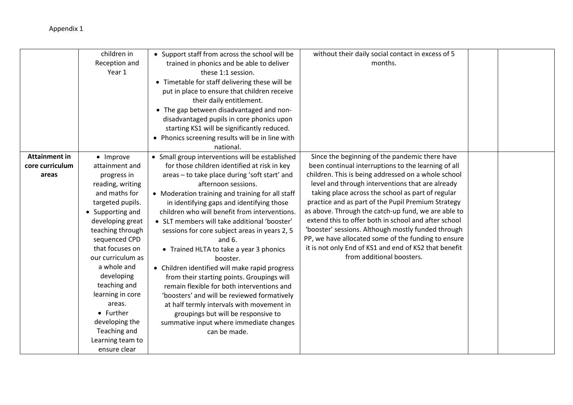## Appendix 1

|                      | children in       | • Support staff from across the school will be   | without their daily social contact in excess of 5     |  |
|----------------------|-------------------|--------------------------------------------------|-------------------------------------------------------|--|
|                      | Reception and     | trained in phonics and be able to deliver        | months.                                               |  |
|                      | Year 1            | these 1:1 session.                               |                                                       |  |
|                      |                   | • Timetable for staff delivering these will be   |                                                       |  |
|                      |                   | put in place to ensure that children receive     |                                                       |  |
|                      |                   | their daily entitlement.                         |                                                       |  |
|                      |                   | • The gap between disadvantaged and non-         |                                                       |  |
|                      |                   | disadvantaged pupils in core phonics upon        |                                                       |  |
|                      |                   | starting KS1 will be significantly reduced.      |                                                       |  |
|                      |                   | • Phonics screening results will be in line with |                                                       |  |
|                      |                   | national.                                        |                                                       |  |
| <b>Attainment in</b> | • Improve         | • Small group interventions will be established  | Since the beginning of the pandemic there have        |  |
| core curriculum      | attainment and    | for those children identified at risk in key     | been continual interruptions to the learning of all   |  |
| areas                | progress in       | areas - to take place during 'soft start' and    | children. This is being addressed on a whole school   |  |
|                      | reading, writing  | afternoon sessions.                              | level and through interventions that are already      |  |
|                      | and maths for     | • Moderation training and training for all staff | taking place across the school as part of regular     |  |
|                      | targeted pupils.  | in identifying gaps and identifying those        | practice and as part of the Pupil Premium Strategy    |  |
|                      | • Supporting and  | children who will benefit from interventions.    | as above. Through the catch-up fund, we are able to   |  |
|                      | developing great  | • SLT members will take additional 'booster'     | extend this to offer both in school and after school  |  |
|                      | teaching through  | sessions for core subject areas in years 2, 5    | 'booster' sessions. Although mostly funded through    |  |
|                      | sequenced CPD     | and $6.$                                         | PP, we have allocated some of the funding to ensure   |  |
|                      | that focuses on   | • Trained HLTA to take a year 3 phonics          | it is not only End of KS1 and end of KS2 that benefit |  |
|                      | our curriculum as | booster.                                         | from additional boosters.                             |  |
|                      | a whole and       | • Children identified will make rapid progress   |                                                       |  |
|                      | developing        | from their starting points. Groupings will       |                                                       |  |
|                      | teaching and      | remain flexible for both interventions and       |                                                       |  |
|                      | learning in core  | 'boosters' and will be reviewed formatively      |                                                       |  |
|                      | areas.            | at half termly intervals with movement in        |                                                       |  |
|                      | • Further         | groupings but will be responsive to              |                                                       |  |
|                      | developing the    | summative input where immediate changes          |                                                       |  |
|                      | Teaching and      | can be made.                                     |                                                       |  |
|                      | Learning team to  |                                                  |                                                       |  |
|                      | ensure clear      |                                                  |                                                       |  |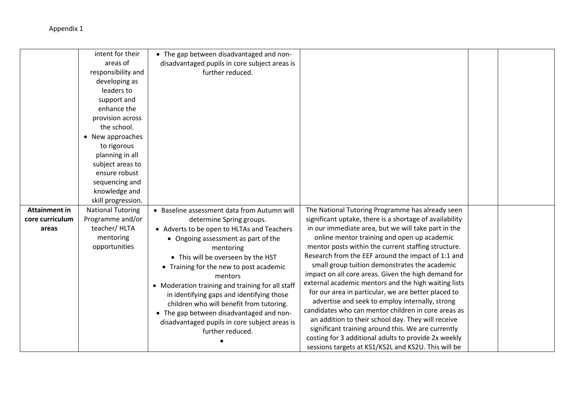|                      | intent for their         | • The gap between disadvantaged and non-         |                                                         |  |
|----------------------|--------------------------|--------------------------------------------------|---------------------------------------------------------|--|
|                      | areas of                 | disadvantaged pupils in core subject areas is    |                                                         |  |
|                      | responsibility and       | further reduced.                                 |                                                         |  |
|                      | developing as            |                                                  |                                                         |  |
|                      | leaders to               |                                                  |                                                         |  |
|                      | support and              |                                                  |                                                         |  |
|                      | enhance the              |                                                  |                                                         |  |
|                      | provision across         |                                                  |                                                         |  |
|                      | the school.              |                                                  |                                                         |  |
|                      | • New approaches         |                                                  |                                                         |  |
|                      | to rigorous              |                                                  |                                                         |  |
|                      | planning in all          |                                                  |                                                         |  |
|                      | subject areas to         |                                                  |                                                         |  |
|                      | ensure robust            |                                                  |                                                         |  |
|                      | sequencing and           |                                                  |                                                         |  |
|                      | knowledge and            |                                                  |                                                         |  |
|                      | skill progression.       |                                                  |                                                         |  |
| <b>Attainment in</b> | <b>National Tutoring</b> | • Baseline assessment data from Autumn will      | The National Tutoring Programme has already seen        |  |
| core curriculum      | Programme and/or         | determine Spring groups.                         | significant uptake, there is a shortage of availability |  |
| areas                | teacher/HLTA             | • Adverts to be open to HLTAs and Teachers       | in our immediate area, but we will take part in the     |  |
|                      | mentoring                | • Ongoing assessment as part of the              | online mentor training and open up academic             |  |
|                      | opportunities            | mentoring                                        | mentor posts within the current staffing structure.     |  |
|                      |                          | • This will be overseen by the HST               | Research from the EEF around the impact of 1:1 and      |  |
|                      |                          | • Training for the new to post academic          | small group tuition demonstrates the academic           |  |
|                      |                          | mentors                                          | impact on all core areas. Given the high demand for     |  |
|                      |                          | • Moderation training and training for all staff | external academic mentors and the high waiting lists    |  |
|                      |                          | in identifying gaps and identifying those        | for our area in particular, we are better placed to     |  |
|                      |                          | children who will benefit from tutoring.         | advertise and seek to employ internally, strong         |  |
|                      |                          | • The gap between disadvantaged and non-         | candidates who can mentor children in core areas as     |  |
|                      |                          | disadvantaged pupils in core subject areas is    | an addition to their school day. They will receive      |  |
|                      |                          | further reduced.                                 | significant training around this. We are currently      |  |
|                      |                          |                                                  | costing for 3 additional adults to provide 2x weekly    |  |
|                      |                          |                                                  | sessions targets at KS1/KS2L and KS2U. This will be     |  |